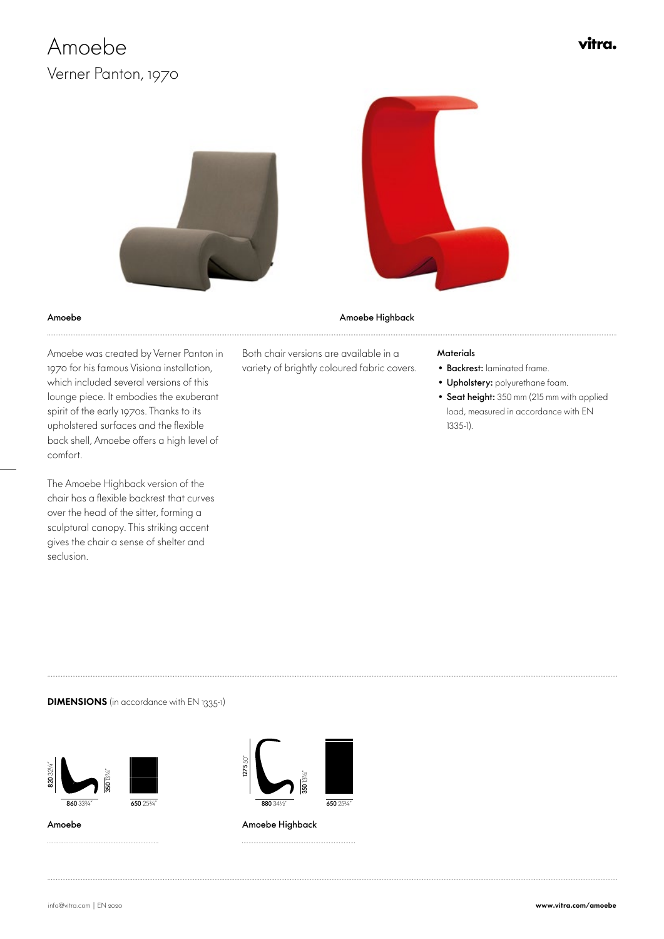# Amoebe Verner Panton, 1970

vitra.



Amoebe Amoebe Highback

 Amoebe was created by Verner Panton in 1970 for his famous Visiona installation, which included several versions of this lounge piece. It embodies the exuberant spirit of the early 1970s. Thanks to its upholstered surfaces and the flexible back shell, Amoebe offers a high level of comfort.

The Amoebe Highback version of the chair has a flexible backrest that curves over the head of the sitter, forming a sculptural canopy. This striking accent gives the chair a sense of shelter and seclusion.

Both chair versions are available in a variety of brightly coloured fabric covers.

#### **Materials**

- Backrest: laminated frame.
- Upholstery: polyurethane foam.
- Seat height: 350 mm (215 mm with applied load, measured in accordance with EN 1335-1).

#### **DIMENSIONS** (in accordance with EN 1335-1)







Amoebe **Amoebe** Amoebe Highback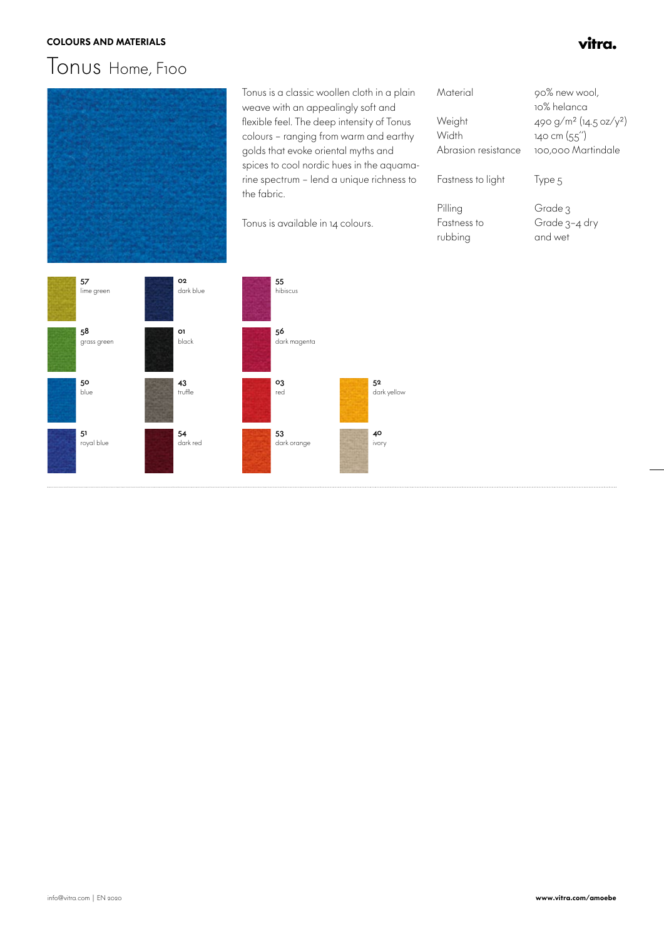#### COLOURS AND MATERIALS **the example of the colours and materials**  $\mathbf{v}/\mathbf{r}$

## Tonus Home , F100



 Tonus is a classic woollen cloth in a plain weave with an appealingly soft and flexible feel. The deep intensity of Tonus colours – ranging from warm and earthy golds that evoke oriental myths and spices to cool nordic hues in the aquamarine spectrum – lend a unique richness to the fabric.

Tonus is available in 14 colours.

| Material            | 90% new wool,                                  |
|---------------------|------------------------------------------------|
|                     | 10% helanca                                    |
| Weight              | 490 g/m <sup>2</sup> (14.5 oz/y <sup>2</sup> ) |
| Width               | $140 \text{ cm } (55')$                        |
| Abrasion resistance | 100.000 Martindale                             |
|                     |                                                |
| Fastness to light   | lype 5                                         |
|                     |                                                |
| Pilling             | Grade 3                                        |
| Fastness to         | Grade 3-4 dry                                  |
| rubbing             | and wet                                        |